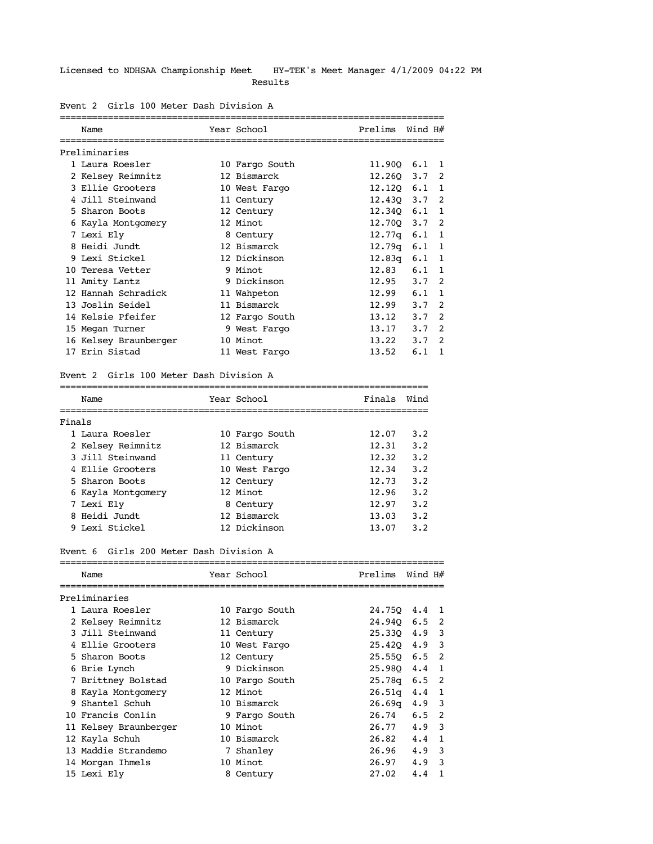### Licensed to NDHSAA Championship Meet HY-TEK's Meet Manager 4/1/2009 04:22 PM Results

| Name<br>--------------------- | Year School<br>=============================== | Prelims    | Wind H# |               |
|-------------------------------|------------------------------------------------|------------|---------|---------------|
| Preliminaries                 |                                                |            |         |               |
| 1 Laura Roesler               | 10 Fargo South                                 | 11.900     | 6.1     | 1             |
| 2 Kelsey Reimnitz             | 12 Bismarck                                    | 12.260     | 3.7     | 2             |
| 3 Ellie Grooters              | 10 West Fargo                                  | 12.120     | 6.1     | 1             |
| 4 Jill Steinwand              | 11 Century                                     | 12.430 3.7 |         | 2             |
| 5 Sharon Boots                | 12 Century                                     | 12.340     | 6.1     | 1             |
| 6 Kayla Montgomery            | 12 Minot                                       | 12.700     | 3.7     | 2             |
| 7 Lexi Ely                    | 8 Century                                      | 12.77q     | 6.1     | $\mathbf{1}$  |
| 8 Heidi Jundt                 | 12 Bismarck                                    | 12.79q     | 6.1     | 1             |
| 9 Lexi Stickel                | 12 Dickinson                                   | 12.83q     | 6.1     | 1             |
| 10 Teresa Vetter              | 9 Minot                                        | 12.83      | 6.1     | 1             |
| 11 Amity Lantz                | 9 Dickinson                                    | 12.95      | 3.7     | 2             |
| 12 Hannah Schradick           | 11 Wahpeton                                    | 12.99      | 6.1     | 1             |
| 13 Joslin Seidel              | 11 Bismarck                                    | 12.99      | 3.7     | 2             |
| 14 Kelsie Pfeifer             | 12 Fargo South                                 | 13.12      | 3.7     | $\mathcal{P}$ |
| 15 Megan Turner               | 9 West Fargo                                   | 13.17      | 3.7     | $\mathcal{P}$ |
| 16 Kelsey Braunberger         | 10 Minot                                       | 13.22      | 3.7     | $\mathcal{P}$ |
| 17 Erin Sistad                | 11 West Fargo                                  | 13.52      | 6.1     | 1             |

# Event 2 Girls 100 Meter Dash Division A

## Event 2 Girls 100 Meter Dash Division A

| Name |                                                                                                                                                                                 | Finals                                                                                                                                            | Wind |
|------|---------------------------------------------------------------------------------------------------------------------------------------------------------------------------------|---------------------------------------------------------------------------------------------------------------------------------------------------|------|
|      |                                                                                                                                                                                 |                                                                                                                                                   |      |
|      |                                                                                                                                                                                 | 12.07                                                                                                                                             | 3.2  |
|      |                                                                                                                                                                                 | 12.31                                                                                                                                             | 3.2  |
|      |                                                                                                                                                                                 | 12.32                                                                                                                                             | 3.2  |
|      |                                                                                                                                                                                 | 12.34                                                                                                                                             | 3.2  |
|      |                                                                                                                                                                                 | 12.73                                                                                                                                             | 3.2  |
|      |                                                                                                                                                                                 | 12.96                                                                                                                                             | 3.2  |
|      |                                                                                                                                                                                 | 12.97                                                                                                                                             | 3.2  |
|      |                                                                                                                                                                                 | 13.03                                                                                                                                             | 3.2  |
|      |                                                                                                                                                                                 | 13.07                                                                                                                                             | 3.2  |
|      | Finals<br>1 Laura Roesler<br>2 Kelsey Reimnitz<br>3 Jill Steinwand<br>4 Ellie Grooters<br>5 Sharon Boots<br>6 Kayla Montgomery<br>7 Lexi Ely<br>8 Heidi Jundt<br>9 Lexi Stickel | Year School<br>10 Fargo South<br>12 Bismarck<br>11 Century<br>10 West Fargo<br>12 Century<br>12 Minot<br>8 Century<br>12 Bismarck<br>12 Dickinson |      |

#### Event 6 Girls 200 Meter Dash Division A

| Name                  | Year School    | Prelims | Wind H# |    |
|-----------------------|----------------|---------|---------|----|
| Preliminaries         |                |         |         |    |
| 1 Laura Roesler       | 10 Fargo South | 24.750  | 4.4     | -1 |
| 2 Kelsey Reimnitz     | 12 Bismarck    | 24.940  | 6.5     | 2  |
| 3 Jill Steinwand      | 11 Century     | 25.330  | 4.9     | 3  |
| 4 Ellie Grooters      | 10 West Fargo  | 25.420  | 4.9     | 3  |
| 5 Sharon Boots        | 12 Century     | 25.550  | 6.5     | 2  |
| 6 Brie Lynch          | 9 Dickinson    | 25.980  | 4.4     | 1  |
| 7 Brittney Bolstad    | 10 Fargo South | 25.78g  | 6.5     | 2  |
| 8 Kayla Montgomery    | 12 Minot       | 26.51q  | 4.4     | 1  |
| 9 Shantel Schuh       | 10 Bismarck    | 26.69q  | 4.9     | 3  |
| 10 Francis Conlin     | 9 Fargo South  | 26.74   | 6.5     | 2  |
| 11 Kelsey Braunberger | 10 Minot       | 26.77   | 4.9     | 3  |
| 12 Kayla Schuh        | 10 Bismarck    | 26.82   | 4.4     |    |
| 13 Maddie Strandemo   | 7 Shanley      | 26.96   | 4.9     | 3  |
| 14 Morgan Ihmels      | 10 Minot       | 26.97   | 4.9     | 3  |
| 15 Lexi Ely           | 8 Century      | 27.02   | 4.4     |    |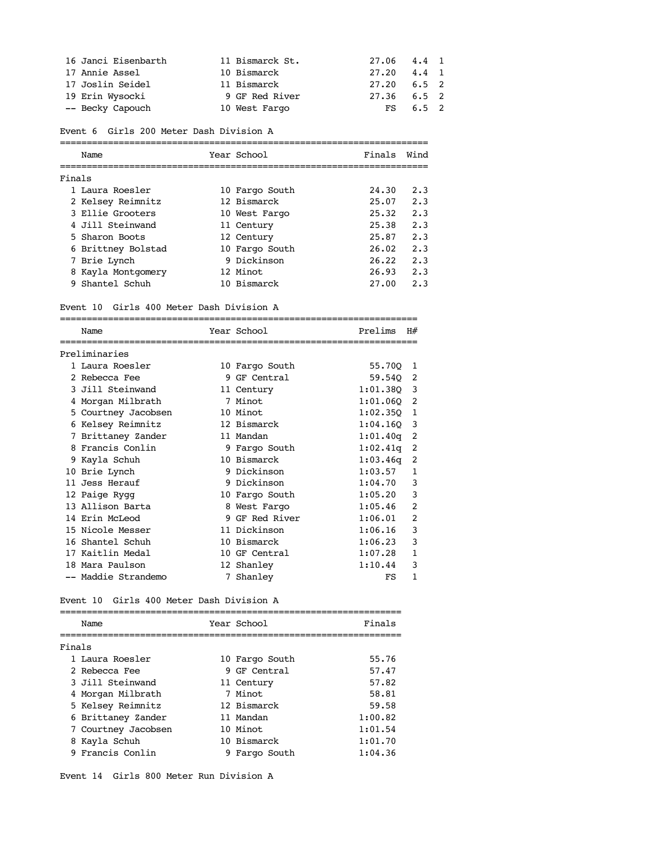| 16 Janci Eisenbarth | 11 Bismarck St. | 27.06 4.4 1   |               |  |
|---------------------|-----------------|---------------|---------------|--|
| 17 Annie Assel      | 10 Bismarck     | 27.20         | $4.4 \quad 1$ |  |
| 17 Joslin Seidel    | 11 Bismarck     | 27.20         | $6.5 \quad 2$ |  |
| 19 Erin Wysocki     | 9 GF Red River  | $27.36$ 6.5 2 |               |  |
| -- Becky Capouch    | 10 West Fargo   | FS.           | $6.5 \quad 2$ |  |

Event 6 Girls 200 Meter Dash Division A

|        | Name               | Year School    | Finals | Wind |
|--------|--------------------|----------------|--------|------|
|        |                    |                |        |      |
| Finals |                    |                |        |      |
|        | 1 Laura Roesler    | 10 Fargo South | 24.30  | 2.3  |
|        | 2 Kelsey Reimnitz  | 12 Bismarck    | 25.07  | 2.3  |
|        | 3 Ellie Grooters   | 10 West Fargo  | 25.32  | 2.3  |
|        | 4 Jill Steinwand   | 11 Century     | 25.38  | 2.3  |
|        | 5 Sharon Boots     | 12 Century     | 25.87  | 2.3  |
|        | 6 Brittney Bolstad | 10 Fargo South | 26.02  | 2.3  |
|        | 7 Brie Lynch       | 9 Dickinson    | 26.22  | 2.3  |
|        | 8 Kayla Montgomery | 12 Minot       | 26.93  | 2.3  |
|        | 9 Shantel Schuh    | 10 Bismarck    | 27.00  | 2.3  |
|        |                    |                |        |      |

#### Event 10 Girls 400 Meter Dash Division A

|   | Name                | Year School    | Prelims  | H#             |
|---|---------------------|----------------|----------|----------------|
|   | Preliminaries       |                |          |                |
|   | 1 Laura Roesler     | 10 Fargo South | 55.700   | 1              |
|   | 2 Rebecca Fee       | 9 GF Central   | 59.540   | 2              |
|   | 3 Jill Steinwand    | 11 Century     | 1:01.380 | 3              |
| 4 | Morgan Milbrath     | 7 Minot        | 1:01.060 | 2              |
|   | 5 Courtney Jacobsen | 10 Minot       | 1:02.350 | 1              |
|   | 6 Kelsey Reimnitz   | 12 Bismarck    | 1:04.160 | 3              |
| 7 | Brittaney Zander    | 11 Mandan      | 1:01.40q | 2              |
|   | 8 Francis Conlin    | 9 Fargo South  | 1:02.41q | 2              |
|   | 9 Kayla Schuh       | 10 Bismarck    | 1:03.46q | 2              |
|   | 10 Brie Lynch       | 9 Dickinson    | 1:03.57  | 1              |
|   | 11 Jess Herauf      | 9 Dickinson    | 1:04.70  | 3              |
|   | 12 Paige Rygg       | 10 Fargo South | 1:05.20  | 3              |
|   | 13 Allison Barta    | 8 West Fargo   | 1:05.46  | $\mathfrak{D}$ |
|   | 14 Erin McLeod      | 9 GF Red River | 1:06.01  | 2              |
|   | 15 Nicole Messer    | 11 Dickinson   | 1:06.16  | 3              |
|   | 16 Shantel Schuh    | 10 Bismarck    | 1:06.23  | 3              |
|   | 17 Kaitlin Medal    | 10 GF Central  | 1:07.28  | $\mathbf{1}$   |
|   | 18 Mara Paulson     | 12 Shanley     | 1:10.44  | 3              |
|   | -- Maddie Strandemo | 7 Shanley      | FS       | 1              |

### Event 10 Girls 400 Meter Dash Division A

|        | Name                | Year School    | Finals  |
|--------|---------------------|----------------|---------|
| Finals |                     |                |         |
|        | 1 Laura Roesler     | 10 Fargo South | 55.76   |
|        | 2 Rebecca Fee       | 9 GF Central   | 57.47   |
|        | 3 Jill Steinwand    | 11 Century     | 57.82   |
|        | 4 Morgan Milbrath   | 7 Minot        | 58.81   |
|        | 5 Kelsey Reimnitz   | 12 Bismarck    | 59.58   |
|        | 6 Brittaney Zander  | 11 Mandan      | 1:00.82 |
|        | 7 Courtney Jacobsen | 10 Minot       | 1:01.54 |
|        | 8 Kayla Schuh       | 10 Bismarck    | 1:01.70 |
|        | 9 Francis Conlin    | 9 Fargo South  | 1:04.36 |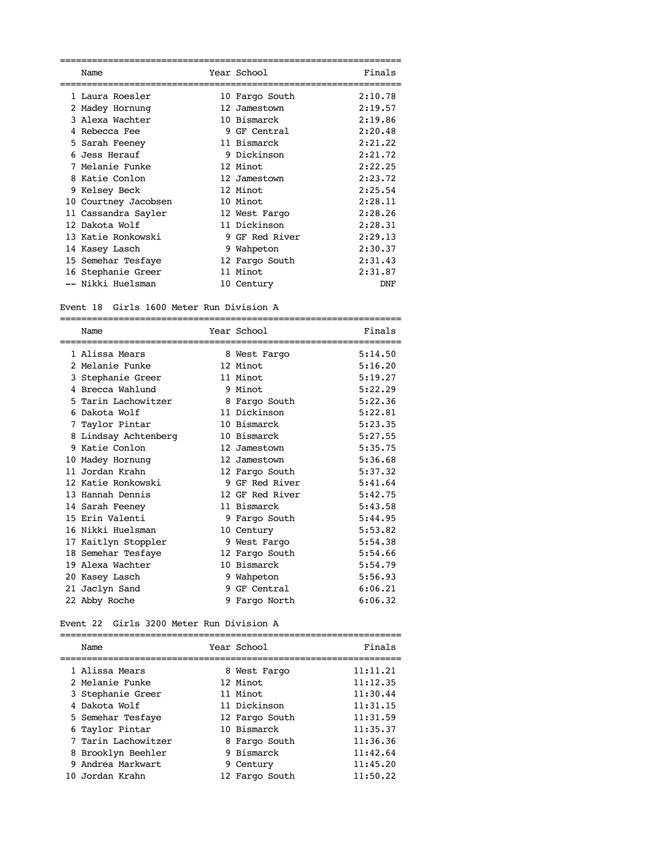| Name                 | Year School    | Finals  |
|----------------------|----------------|---------|
| 1 Laura Roesler      | 10 Fargo South | 2:10.78 |
| 2 Madey Hornung      | 12 Jamestown   | 2:19.57 |
| 3 Alexa Wachter      | 10 Bismarck    | 2:19.86 |
| 4 Rebecca Fee        | 9 GF Central   | 2:20.48 |
| 5 Sarah Feeney       | 11 Bismarck    | 2:21.22 |
| 6 Jess Herauf        | 9 Dickinson    | 2:21.72 |
| 7 Melanie Funke      | 12 Minot       | 2:22.25 |
| 8 Katie Conlon       | 12 Jamestown   | 2:23.72 |
| 9 Kelsey Beck        | 12 Minot       | 2:25.54 |
| 10 Courtney Jacobsen | 10 Minot       | 2:28.11 |
| 11 Cassandra Sayler  | 12 West Fargo  | 2:28.26 |
| 12 Dakota Wolf       | 11 Dickinson   | 2:28.31 |
| 13 Katie Ronkowski   | 9 GF Red River | 2:29.13 |
| 14 Kasey Lasch       | 9 Wahpeton     | 2:30.37 |
| 15 Semehar Tesfaye   | 12 Fargo South | 2:31.43 |
| 16 Stephanie Greer   | 11 Minot       | 2:31.87 |
| -- Nikki Huelsman    | 10 Century     | DNF     |

Event 18 Girls 1600 Meter Run Division A

|   | Name                 |    | Year School     | Finals  |
|---|----------------------|----|-----------------|---------|
|   | 1 Alissa Mears       |    | 8 West Fargo    | 5:14.50 |
|   | 2 Melanie Funke      |    | 12 Minot        | 5:16.20 |
|   | 3 Stephanie Greer    |    | 11 Minot        | 5:19.27 |
| 4 | Brecca Wahlund       |    | 9 Minot         | 5:22.29 |
|   | 5 Tarin Lachowitzer  |    | 8 Fargo South   | 5:22.36 |
| 6 | Dakota Wolf          |    | 11 Dickinson    | 5:22.81 |
| 7 | Taylor Pintar        |    | 10 Bismarck     | 5:23.35 |
|   | 8 Lindsay Achtenberg |    | 10 Bismarck     | 5:27.55 |
|   | 9 Katie Conlon       |    | 12 Jamestown    | 5:35.75 |
|   | 10 Madey Hornung     |    | 12 Jamestown    | 5:36.68 |
|   | 11 Jordan Krahn      |    | 12 Fargo South  | 5:37.32 |
|   | 12 Katie Ronkowski   |    | 9 GF Red River  | 5:41.64 |
|   | 13 Hannah Dennis     |    | 12 GF Red River | 5:42.75 |
|   | 14 Sarah Feeney      |    | 11 Bismarck     | 5:43.58 |
|   | 15 Erin Valenti      |    | 9 Fargo South   | 5:44.95 |
|   | 16 Nikki Huelsman    |    | 10 Century      | 5:53.82 |
|   | 17 Kaitlyn Stoppler  |    | 9 West Fargo    | 5:54.38 |
|   | 18 Semehar Tesfaye   |    | 12 Fargo South  | 5:54.66 |
|   | 19 Alexa Wachter     |    | 10 Bismarck     | 5:54.79 |
|   | 20 Kasey Lasch       | 9  | Wahpeton        | 5:56.93 |
|   | 21 Jaclyn Sand       | 9. | GF Central      | 6:06.21 |
|   | 22 Abby Roche        | 9  | Fargo North     | 6:06.32 |

Event 22 Girls 3200 Meter Run Division A

| Name                | Year School    | Finals   |
|---------------------|----------------|----------|
| 1 Alissa Mears      | 8 West Fargo   | 11:11.21 |
| 2 Melanie Funke     | 12 Minot       | 11:12.35 |
| 3 Stephanie Greer   | 11 Minot       | 11:30.44 |
| 4 Dakota Wolf       | 11 Dickinson   | 11:31.15 |
| 5 Semehar Tesfaye   | 12 Fargo South | 11:31.59 |
| 6 Taylor Pintar     | 10 Bismarck    | 11:35.37 |
| 7 Tarin Lachowitzer | 8 Fargo South  | 11:36.36 |
| 8 Brooklyn Beehler  | 9 Bismarck     | 11:42.64 |
| 9 Andrea Markwart   | 9 Century      | 11:45.20 |
| 10 Jordan Krahn     | 12 Fargo South | 11:50.22 |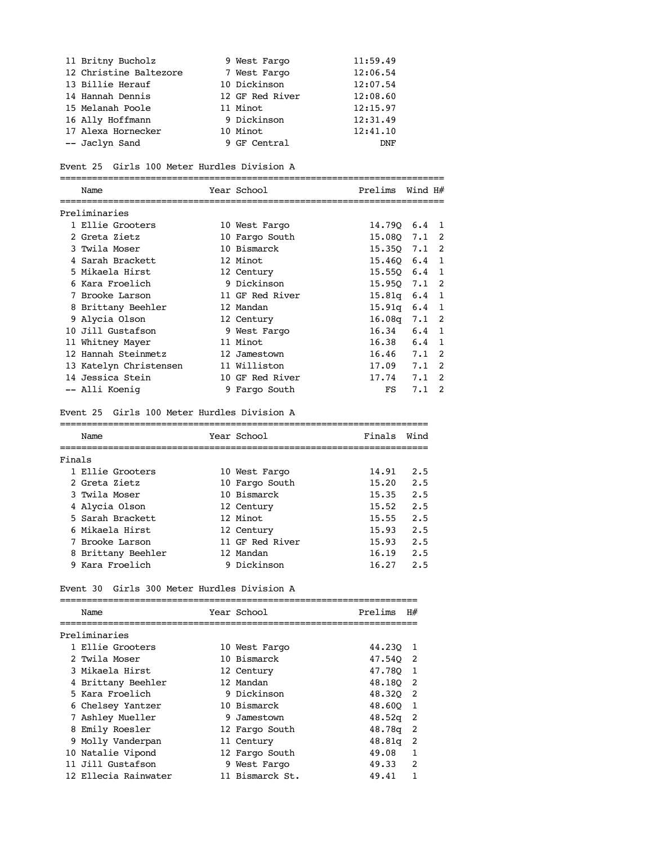| 11 Britny Bucholz      | 9 West Fargo    | 11:59.49 |
|------------------------|-----------------|----------|
| 12 Christine Baltezore | 7 West Fargo    | 12:06.54 |
| 13 Billie Herauf       | 10 Dickinson    | 12:07.54 |
| 14 Hannah Dennis       | 12 GF Red River | 12:08.60 |
| 15 Melanah Poole       | 11 Minot        | 12:15.97 |
| 16 Ally Hoffmann       | 9 Dickinson     | 12:31.49 |
| 17 Alexa Hornecker     | 10 Minot        | 12:41.10 |
| -- Jaclyn Sand         | 9 GF Central    | DNF      |

## Event 25 Girls 100 Meter Hurdles Division A

| Name                   |  | Year School     | Prelims | Wind H#       |               |
|------------------------|--|-----------------|---------|---------------|---------------|
| Preliminaries          |  |                 |         |               |               |
| 1 Ellie Grooters       |  | 10 West Fargo   | 14.790  | $6.4 \quad 1$ |               |
| 2 Greta Zietz          |  | 10 Fargo South  | 15.080  | 7.1           | 2             |
| 3 Twila Moser          |  | 10 Bismarck     | 15.350  | 7.1           | 2             |
| 4 Sarah Brackett       |  | 12 Minot        | 15.460  | 6.4           | 1             |
| 5 Mikaela Hirst        |  | 12 Century      | 15.550  | 6.4           | 1             |
| 6 Kara Froelich        |  | 9 Dickinson     | 15.950  | 7.1           | 2             |
| 7 Brooke Larson        |  | 11 GF Red River | 15.81q  | 6.4           | 1             |
| 8 Brittany Beehler     |  | 12 Mandan       | 15.91q  | 6.4           |               |
| 9 Alycia Olson         |  | 12 Century      | 16.08q  | 7.1           | 2             |
| 10 Jill Gustafson      |  | 9 West Fargo    | 16.34   | 6.4           |               |
| 11 Whitney Mayer       |  | 11 Minot        | 16.38   | 6.4           |               |
| 12 Hannah Steinmetz    |  | 12 Jamestown    | 16.46   | 7.1           | 2             |
| 13 Katelyn Christensen |  | 11 Williston    | 17.09   | 7.1           | 2             |
| 14 Jessica Stein       |  | 10 GF Red River | 17.74   | 7.1           | 2             |
| -- Alli Koenig         |  | 9 Fargo South   | FS      | 7.1           | $\mathcal{P}$ |

### Event 25 Girls 100 Meter Hurdles Division A

|        | Name               | Year School     | Finals | Wind |
|--------|--------------------|-----------------|--------|------|
| Finals |                    |                 |        |      |
|        | 1 Ellie Grooters   | 10 West Fargo   | 14.91  | 2.5  |
|        | 2 Greta Zietz      | 10 Fargo South  | 15.20  | 2.5  |
|        | 3 Twila Moser      | 10 Bismarck     | 15.35  | 2.5  |
|        | 4 Alycia Olson     | 12 Century      | 15.52  | 2.5  |
|        | 5 Sarah Brackett   | 12 Minot        | 15.55  | 2.5  |
|        | 6 Mikaela Hirst    | 12 Century      | 15.93  | 2.5  |
|        | 7 Brooke Larson    | 11 GF Red River | 15.93  | 2.5  |
|        | 8 Brittany Beehler | 12 Mandan       | 16.19  | 2.5  |
|        | 9 Kara Froelich    | 9 Dickinson     | 16.27  | 2.5  |

### Event 30 Girls 300 Meter Hurdles Division A

| Name                 | Year School     | Prelims | H#             |
|----------------------|-----------------|---------|----------------|
| Preliminaries        |                 |         |                |
| 1 Ellie Grooters     | 10 West Fargo   | 44.230  | - 1            |
| 2 Twila Moser        | 10 Bismarck     | 47.540  | $\overline{2}$ |
| 3 Mikaela Hirst      | 12 Century      | 47.780  | $\mathbf{1}$   |
| 4 Brittany Beehler   | 12 Mandan       | 48,180  | -2             |
| 5 Kara Froelich      | 9 Dickinson     | 48.320  | -2             |
| 6 Chelsey Yantzer    | 10 Bismarck     | 48.600  | 1              |
| 7 Ashley Mueller     | 9 Jamestown     | 48.52q  | 2              |
| 8 Emily Roesler      | 12 Fargo South  | 48.78g  | 2              |
| 9 Molly Vanderpan    | 11 Century      | 48.81q  | 2              |
| 10 Natalie Vipond    | 12 Fargo South  | 49.08   |                |
| 11 Jill Gustafson    | 9 West Fargo    | 49.33   | $\mathfrak{D}$ |
| 12 Ellecia Rainwater | 11 Bismarck St. | 49.41   |                |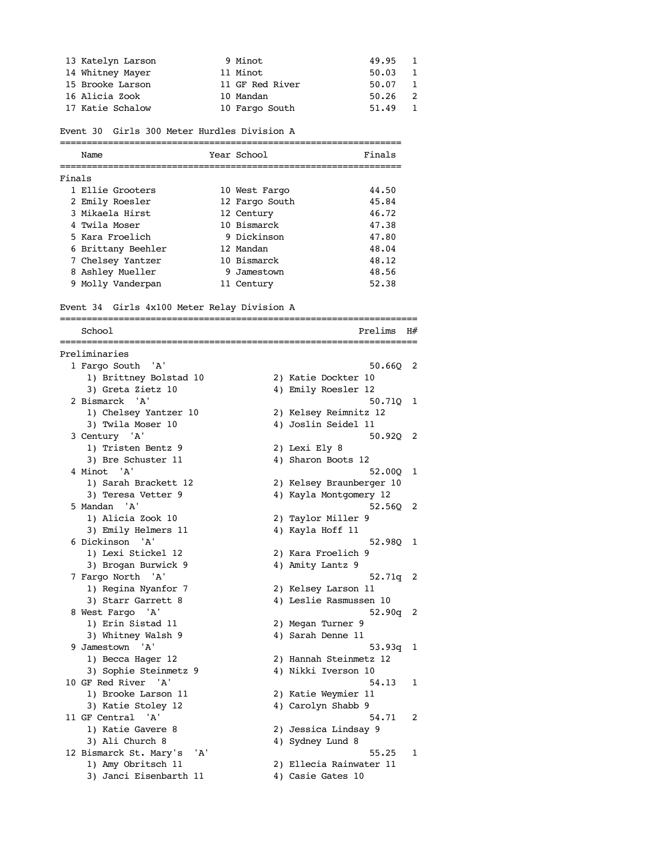| 13 Katelyn Larson | 9 Minot         | 49.95 1   |                |
|-------------------|-----------------|-----------|----------------|
| 14 Whitney Mayer  | 11 Minot        | 50.03     |                |
| 15 Brooke Larson  | 11 GF Red River | 50.07     | $\overline{1}$ |
| 16 Alicia Zook    | 10 Mandan       | $50.26$ 2 |                |
| 17 Katie Schalow  | 10 Fargo South  | 51.49     |                |

Event 30 Girls 300 Meter Hurdles Division A

|        | Name               | Year School    | Finals |
|--------|--------------------|----------------|--------|
| Finals |                    |                |        |
|        | 1 Ellie Grooters   | 10 West Fargo  | 44.50  |
|        | 2 Emily Roesler    | 12 Fargo South | 45.84  |
|        | 3 Mikaela Hirst    | 12 Century     | 46.72  |
|        | 4 Twila Moser      | 10 Bismarck    | 47.38  |
|        | 5 Kara Froelich    | 9 Dickinson    | 47.80  |
|        | 6 Brittany Beehler | 12 Mandan      | 48.04  |
|        | 7 Chelsey Yantzer  | 10 Bismarck    | 48.12  |
|        | 8 Ashley Mueller   | 9 Jamestown    | 48.56  |
|        | 9 Molly Vanderpan  | 11 Century     | 52.38  |
|        |                    |                |        |

Event 34 Girls 4x100 Meter Relay Division A

=================================================================== School Prelims  $H#$ =================================================================== Preliminaries 1 Fargo South 'A' 50.66Q 2 1) Brittney Bolstad 10 2) Katie Dockter 10 3) Greta Zietz 10 4) Emily Roesler 12 2 Bismarck 'A' 50.71Q 1 1) Chelsey Yantzer 10 2) Kelsey Reimnitz 12 3) Twila Moser 10 4) Joslin Seidel 11 3 Century 'A' 50.92Q 2 1) Tristen Bentz 9 2) Lexi Ely 8 3) Bre Schuster 11 4) Sharon Boots 12 4 Minot 'A' 52.00Q 1 1) Sarah Brackett 12 2) Kelsey Braunberger 10 3) Teresa Vetter 9 12 12 4) Kayla Montgomery 12 5 Mandan 'A' 52.56Q 2 1) Alicia Zook 10 2) Taylor Miller 9 3) Emily Helmers 11 4) Kayla Hoff 11 6 Dickinson 'A' 52.98Q 1 1) Lexi Stickel 12 2) Kara Froelich 9 3) Brogan Burwick 9 1 4) Amity Lantz 9 7 Fargo North 'A' 52.71q 2 1) Regina Nyanfor 7 2) Kelsey Larson 11 3) Starr Garrett 8 4) Leslie Rasmussen 10 8 West Fargo 'A' 52.90q 2 1) Erin Sistad 11 2) Megan Turner 9 3) Whitney Walsh 9 4) Sarah Denne 11 9 Jamestown 'A' 53.93q 1 1) Becca Hager 12 2) Hannah Steinmetz 12 3) Sophie Steinmetz 9 4) Nikki Iverson 10 10 GF Red River 'A' 54.13 1 1) Brooke Larson 11 2) Katie Weymier 11 3) Katie Stoley 12 4) Carolyn Shabb 9 11 GF Central 'A' 54.71 2 1) Katie Gavere 8 2) Jessica Lindsay 9 3) Ali Church 8 4) Sydney Lund 8 12 Bismarck St. Mary's 'A' 55.25 1 1) Amy Obritsch 11 2) Ellecia Rainwater 11 3) Janci Eisenbarth 11 4) Casie Gates 10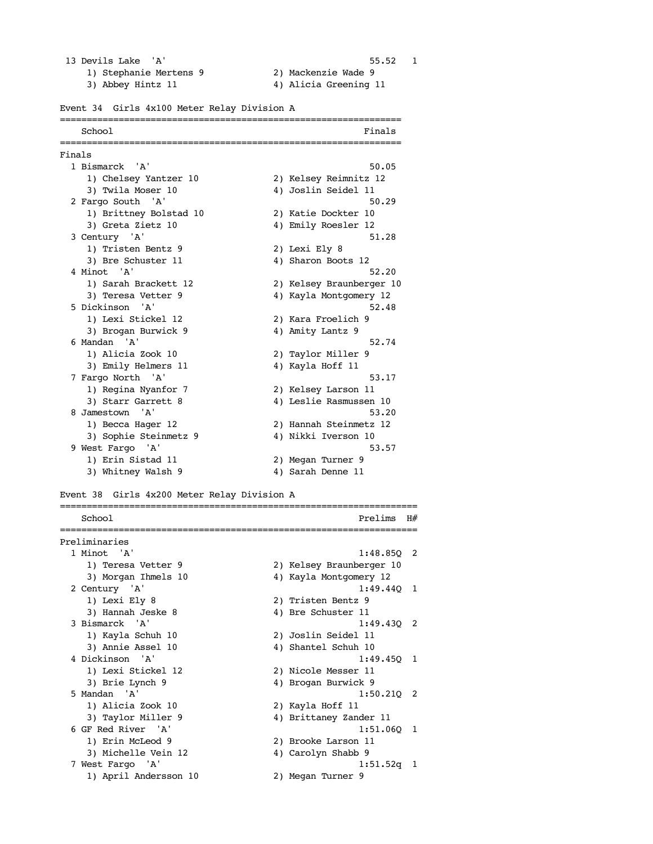#### 13 Devils Lake 'A' 55.52 1

- 
- 1) Stephanie Mertens 9 2) Mackenzie Wade 9
- 3) Abbey Hintz 11 4) Alicia Greening 11
- 

### Event 34 Girls 4x100 Meter Relay Division A

|        | School<br>---------------------------- |               | Finals                   |
|--------|----------------------------------------|---------------|--------------------------|
| Finals |                                        |               | ============             |
|        | 1 Bismarck 'A'                         |               | 50.05                    |
|        | 1) Chelsey Yantzer 10                  |               | 2) Kelsey Reimnitz 12    |
|        | 3) Twila Moser 10                      |               | 4) Joslin Seidel 11      |
|        | 2 Fargo South 'A'                      |               | 50.29                    |
|        | 1) Brittney Bolstad 10                 |               | 2) Katie Dockter 10      |
|        | 3) Greta Zietz 10                      |               | 4) Emily Roesler 12      |
|        | 3 Century 'A'                          |               | 51.28                    |
|        | 1) Tristen Bentz 9                     | 2) Lexi Ely 8 |                          |
|        | 3) Bre Schuster 11                     |               | 4) Sharon Boots 12       |
|        | 4 Minot 'A'                            |               | 52.20                    |
|        | 1) Sarah Brackett 12                   |               | 2) Kelsey Braunberger 10 |
|        | 3) Teresa Vetter 9                     |               | 4) Kayla Montgomery 12   |
|        | 5 Dickinson 'A'                        |               | 52.48                    |
|        | 1) Lexi Stickel 12                     |               | 2) Kara Froelich 9       |
|        | 3) Brogan Burwick 9                    |               | 4) Amity Lantz 9         |
|        | 6 Mandan 'A'                           |               | 52.74                    |
|        | 1) Alicia Zook 10                      |               | 2) Taylor Miller 9       |
|        | 3) Emily Helmers 11                    |               | 4) Kayla Hoff 11         |
|        | 7 Fargo North 'A'                      |               | 53.17                    |
|        | 1) Regina Nyanfor 7                    |               | 2) Kelsey Larson 11      |
|        | 3) Starr Garrett 8                     |               | 4) Leslie Rasmussen 10   |
|        | 8 Jamestown 'A'                        |               | 53.20                    |
|        | 1) Becca Hager 12                      |               | 2) Hannah Steinmetz 12   |
|        | 3) Sophie Steinmetz 9                  |               | 4) Nikki Iverson 10      |
|        | 9 West Fargo 'A'                       |               | 53.57                    |
|        | 1) Erin Sistad 11                      |               | 2) Megan Turner 9        |
|        | 3) Whitney Walsh 9                     |               | 4) Sarah Denne 11        |

Event 38 Girls 4x200 Meter Relay Division A

| School                | Prelims<br>H#            |
|-----------------------|--------------------------|
| Preliminaries         |                          |
| 1 Minot 'A'           | $1:48.850$ 2             |
| 1) Teresa Vetter 9    | 2) Kelsey Braunberger 10 |
| 3) Morgan Ihmels 10   | 4) Kayla Montgomery 12   |
| 2 Century 'A'         | $1:49.440$ 1             |
| 1) Lexi Ely 8         | 2) Tristen Bentz 9       |
| 3) Hannah Jeske 8     | 4) Bre Schuster 11       |
| 3 Bismarck 'A'        | $1:49.430$ 2             |
| 1) Kayla Schuh 10     | 2) Joslin Seidel 11      |
| 3) Annie Assel 10     | 4) Shantel Schuh 10      |
| 4 Dickinson 'A'       | $1:49.450$ 1             |
| 1) Lexi Stickel 12    | 2) Nicole Messer 11      |
| 3) Brie Lynch 9       | 4) Brogan Burwick 9      |
| 5 Mandan 'A'          | $1:50.210$ 2             |
| 1) Alicia Zook 10     | 2) Kayla Hoff 11         |
| 3) Taylor Miller 9    | 4) Brittaney Zander 11   |
| 6 GF Red River 'A'    | 1:51.060 1               |
| 1) Erin McLeod 9      | 2) Brooke Larson 11      |
| 3) Michelle Vein 12   | 4) Carolyn Shabb 9       |
| 7 West Fargo 'A'      | $1:51.52q$ 1             |
| 1) April Andersson 10 | 2) Megan Turner 9        |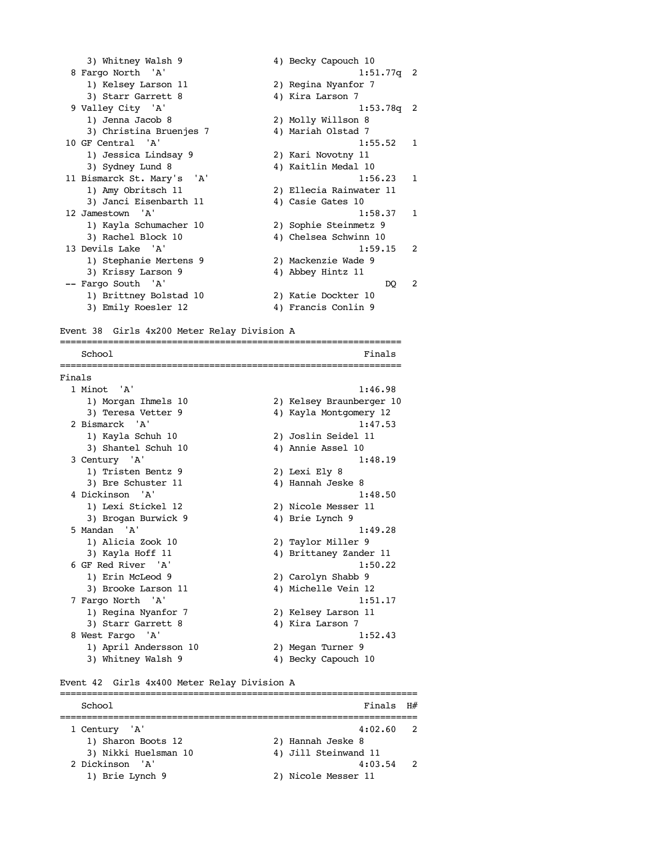| 3) Whitney Walsh 9         | 4) Becky Capouch 10       |
|----------------------------|---------------------------|
| 8 Fargo North 'A'          | $1:51.77q$ 2              |
| 1) Kelsey Larson 11        | 2) Regina Nyanfor 7       |
| 3) Starr Garrett 8         | 4) Kira Larson 7          |
| 9 Valley City 'A'          | $1:53.78q$ 2              |
| 1) Jenna Jacob 8           | 2) Molly Willson 8        |
| 3) Christina Bruenjes 7    | 4) Mariah Olstad 7        |
| 10 GF Central 'A'          | 1:55.52 1                 |
| 1) Jessica Lindsay 9       | 2) Kari Novotny 11        |
| 3) Sydney Lund 8           | 4) Kaitlin Medal 10       |
| 11 Bismarck St. Mary's 'A' | 1:56.23<br>1              |
| 1) Amy Obritsch 11         | 2) Ellecia Rainwater 11   |
| 3) Janci Eisenbarth 11     | 4) Casie Gates 10         |
| 12 Jamestown 'A'           | 1:58.37<br>$\mathbf{1}$   |
| 1) Kayla Schumacher 10     | 2) Sophie Steinmetz 9     |
| 3) Rachel Block 10         | 4) Chelsea Schwinn 10     |
| 13 Devils Lake 'A'         | 1:59.15<br>$\mathfrak{D}$ |
| 1) Stephanie Mertens 9     | 2) Mackenzie Wade 9       |
| 3) Krissy Larson 9         | 4) Abbey Hintz 11         |
| -- Fargo South 'A'         | 2<br>DO                   |
| 1) Brittney Bolstad 10     | 2) Katie Dockter 10       |
| 3) Emily Roesler 12        | 4) Francis Conlin 9       |

Event 38 Girls 4x200 Meter Relay Division A ================================================================ School Finals ================================================================ Finals 1 Minot 'A' 1:46.98 1) Morgan Ihmels 10 2) Kelsey Braunberger 10 3) Teresa Vetter 9  $\hphantom{\text{2.65}$  4) Kayla Montgomery 12 2 Bismarck 'A' 1:47.53 1) Kayla Schuh 10 2) Joslin Seidel 11 3) Shantel Schuh 10 (3) Annie Assel 10 3 Century 'A' 1:48.19 1) Tristen Bentz 9 2) Lexi Ely 8 3) Bre Schuster 11 4) Hannah Jeske 8 4 Dickinson 'A' 1:48.50 1) Lexi Stickel 12 2) Nicole Messer 11 3) Brogan Burwick 9 4) Brie Lynch 9 5 Mandan 'A' 1:49.28 1) Alicia Zook 10 2) Taylor Miller 9 3) Kayla Hoff 11 4) Brittaney Zander 11 6 GF Red River 'A' 1:50.22 1) Erin McLeod 9 2) Carolyn Shabb 9 3) Brooke Larson 11 4) Michelle Vein 12 7 Fargo North 'A' 1:51.17 1) Regina Nyanfor 7 2) Kelsey Larson 11 3) Starr Garrett 8 4) Kira Larson 7 8 West Fargo 'A' 1:52.43 1) April Andersson 10 2) Megan Turner 9 3) Whitney Walsh 9 4) Becky Capouch 10

Event 42 Girls 4x400 Meter Relay Division A

| School               | $Findes$ $H#$        |  |
|----------------------|----------------------|--|
| 1 Century 'A'        | $4:02.60$ 2          |  |
| 1) Sharon Boots 12   | 2) Hannah Jeske 8    |  |
| 3) Nikki Huelsman 10 | 4) Jill Steinwand 11 |  |
| 2 Dickinson 'A'      | $4:03.54$ 2          |  |
| 1) Brie Lynch 9      | 2) Nicole Messer 11  |  |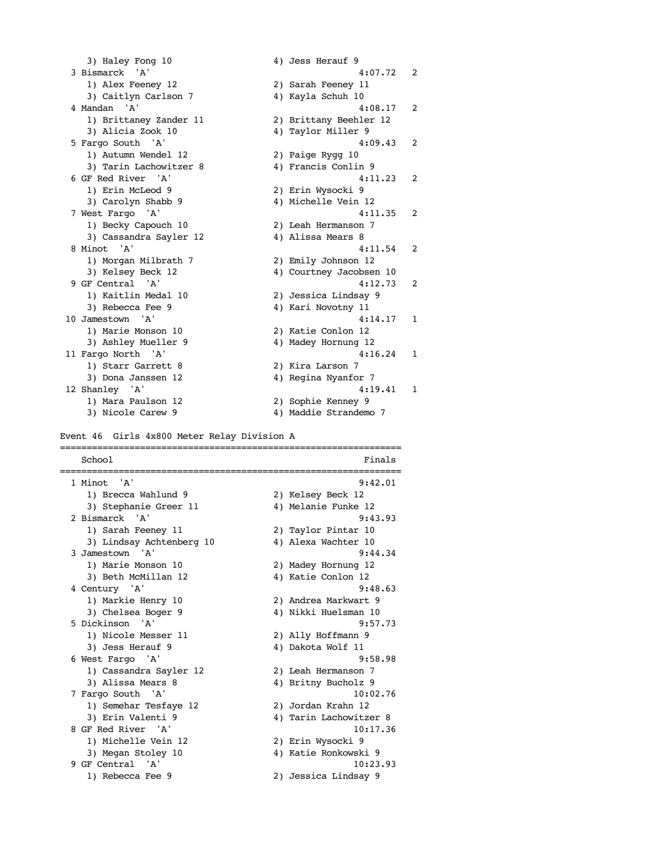3) Haley Fong 10 4) Jess Herauf 9 3 Bismarck 'A' 4:07.72 2 1) Alex Feeney 12 2) Sarah Feeney 11 3) Caitlyn Carlson 7 (4) Kayla Schuh 10 4 Mandan 'A' 4:08.17 2 1) Brittaney Zander 11 2) Brittany Beehler 12 3) Alicia Zook 10 4) Taylor Miller 9 5 Fargo South 'A' 4:09.43 2 1) Autumn Wendel 12 2) Paige Rygg 10 3) Tarin Lachowitzer 8  $\hskip1cm 4$ ) Francis Conlin 9 6 GF Red River 'A' 4:11.23 2 1) Erin McLeod 9 2) Erin Wysocki 9 3) Carolyn Shabb 9 4) Michelle Vein 12 7 West Fargo 'A' 4:11.35 2 1) Becky Capouch 10 2) Leah Hermanson 7 3) Cassandra Sayler 12 4) Alissa Mears 8 8 Minot 'A' 4:11.54 2 1) Morgan Milbrath 7 2) Emily Johnson 12 3) Kelsey Beck 12 (4) Courtney Jacobsen 10 9 GF Central 'A' 4:12.73 2 1) Kaitlin Medal 10 2) Jessica Lindsay 9 3) Rebecca Fee 9 4) Kari Novotny 11 10 Jamestown 'A' 4:14.17 1 1) Marie Monson 10 2) Katie Conlon 12 3) Ashley Mueller 9 4) Madey Hornung 12 11 Fargo North 'A' 4:16.24 1 1) Starr Garrett 8 2) Kira Larson 7 3) Dona Janssen 12  $\hskip1cm {4}$  4) Regina Nyanfor 7 12 Shanley 'A' 4:19.41 1 1) Mara Paulson 12 2) Sophie Kenney 9 3) Nicole Carew 9 4) Maddie Strandemo 7

Event 46 Girls 4x800 Meter Relay Division A

================================================================ School Finals ================================================================ 1 Minot 'A' 9:42.01 1) Brecca Wahlund 9 2) Kelsey Beck 12 3) Stephanie Greer 11  $\hskip1cm$  4) Melanie Funke 12 2 Bismarck 'A' 9:43.93 1) Sarah Feeney 11 2) Taylor Pintar 10 3) Lindsay Achtenberg 10  $\hskip 1.3cm 4$ ) Alexa Wachter 10 3 Jamestown 'A' 9:44.34 1) Marie Monson 10 2) Madey Hornung 12 3) Beth McMillan 12 4) Katie Conlon 12 4 Century 'A' 9:48.63 1) Markie Henry 10 2) Andrea Markwart 9 3) Chelsea Boger 9 4) Nikki Huelsman 10 5 Dickinson 'A' 9:57.73 1) Nicole Messer 11 2) Ally Hoffmann 9 3) Jess Herauf 9 4) Dakota Wolf 11 6 West Fargo 'A' 9:58.98 1) Cassandra Sayler 12 2) Leah Hermanson 7 3) Alissa Mears 8 4) Britny Bucholz 9 7 Fargo South 'A' 10:02.76 1) Semehar Tesfaye 12 2) Jordan Krahn 12 3) Erin Valenti 9 12 12 13 4) Tarin Lachowitzer 8 8 GF Red River 'A' 10:17.36 1) Michelle Vein 12 2) Erin Wysocki 9 3) Megan Stoley 10 4) Katie Ronkowski 9 9 GF Central 'A' 10:23.93 1) Rebecca Fee 9 2) Jessica Lindsay 9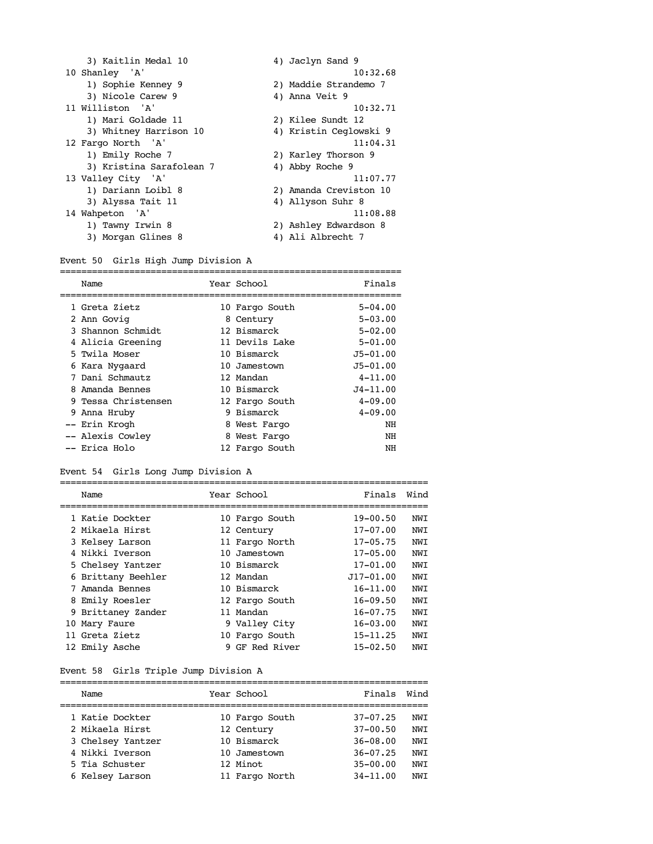| 3) Kaitlin Medal 10      | 4) Jaclyn Sand 9       |
|--------------------------|------------------------|
| 10 Shanley 'A'           | 10:32.68               |
| 1) Sophie Kenney 9       | 2) Maddie Strandemo 7  |
| 3) Nicole Carew 9        | 4) Anna Veit 9         |
| 11 Williston 'A'         | 10:32.71               |
| 1) Mari Goldade 11       | 2) Kilee Sundt 12      |
| 3) Whitney Harrison 10   | 4) Kristin Ceglowski 9 |
| 12 Fargo North 'A'       | 11:04.31               |
| 1) Emily Roche 7         | 2) Karley Thorson 9    |
| 3) Kristina Sarafolean 7 | 4) Abby Roche 9        |
| 13 Valley City 'A'       | 11:07.77               |
|                          |                        |
| 1) Dariann Loibl 8       | 2) Amanda Creviston 10 |
| 3) Alyssa Tait 11        | 4) Allyson Suhr 8      |
| 14 Wahpeton 'A'          | 11:08.88               |
| 1) Tawny Irwin 8         | 2) Ashley Edwardson 8  |

# Event 50 Girls High Jump Division A

| Name                | Year School    | Finals       |
|---------------------|----------------|--------------|
| 1 Greta Zietz       | 10 Fargo South | $5 - 04.00$  |
| 2 Ann Govig         | 8 Century      | $5 - 03.00$  |
| 3 Shannon Schmidt   | 12 Bismarck    | $5 - 02.00$  |
| 4 Alicia Greening   | 11 Devils Lake | $5 - 01.00$  |
| 5 Twila Moser       | 10 Bismarck    | $J5 - 01.00$ |
| 6 Kara Nygaard      | 10 Jamestown   | $J5 - 01.00$ |
| Dani Schmautz       | 12 Mandan      | $4 - 11.00$  |
| 8 Amanda Bennes     | 10 Bismarck    | $J4 - 11.00$ |
| 9 Tessa Christensen | 12 Fargo South | $4 - 09.00$  |
| 9 Anna Hruby        | 9 Bismarck     | $4 - 09.00$  |
| -- Erin Krogh       | 8 West Fargo   | ΝH           |
| -- Alexis Cowley    | 8 West Fargo   | ΝH           |
| -- Erica Holo       | 12 Fargo South | NH           |
|                     |                |              |

# Event 54 Girls Long Jump Division A

| Name               | Year School    | Finals        | Wind |
|--------------------|----------------|---------------|------|
| 1 Katie Dockter    | 10 Fargo South | $19 - 00.50$  | NWI  |
| 2 Mikaela Hirst    | 12 Century     | $17 - 07.00$  | NWI  |
| 3 Kelsey Larson    | 11 Fargo North | $17 - 05.75$  | NWI  |
| 4 Nikki Tverson    | 10 Jamestown   | $17 - 05.00$  | NWI  |
| 5 Chelsey Yantzer  | 10 Bismarck    | $17 - 01.00$  | NWI  |
| 6 Brittany Beehler | 12 Mandan      | $J17 - 01.00$ | NWI  |
| 7 Amanda Bennes    | 10 Bismarck    | $16 - 11.00$  | NWI  |
| 8 Emily Roesler    | 12 Fargo South | $16 - 09.50$  | NWI  |
| 9 Brittaney Zander | 11 Mandan      | $16 - 07.75$  | NWI  |
| 10 Mary Faure      | 9 Valley City  | $16 - 03.00$  | NWI  |
| 11 Greta Zietz     | 10 Fargo South | $15 - 11.25$  | NWI  |
| 12 Emily Asche     | 9 GF Red River | $15 - 02.50$  | NWI  |

# Event 58 Girls Triple Jump Division A

| Name              | Year School    | Finals       | Wind |
|-------------------|----------------|--------------|------|
| 1 Katie Dockter   | 10 Fargo South | $37 - 07.25$ | NWI  |
| 2 Mikaela Hirst   | 12 Century     | $37 - 00.50$ | NWI  |
| 3 Chelsey Yantzer | 10 Bismarck    | $36 - 08.00$ | NWI  |
| 4 Nikki Iverson   | 10 Jamestown   | $36 - 07.25$ | NWI  |
| 5 Tia Schuster    | 12 Minot       | $35 - 00.00$ | NWI  |
| 6 Kelsey Larson   | 11 Fargo North | $34 - 11.00$ | NWI  |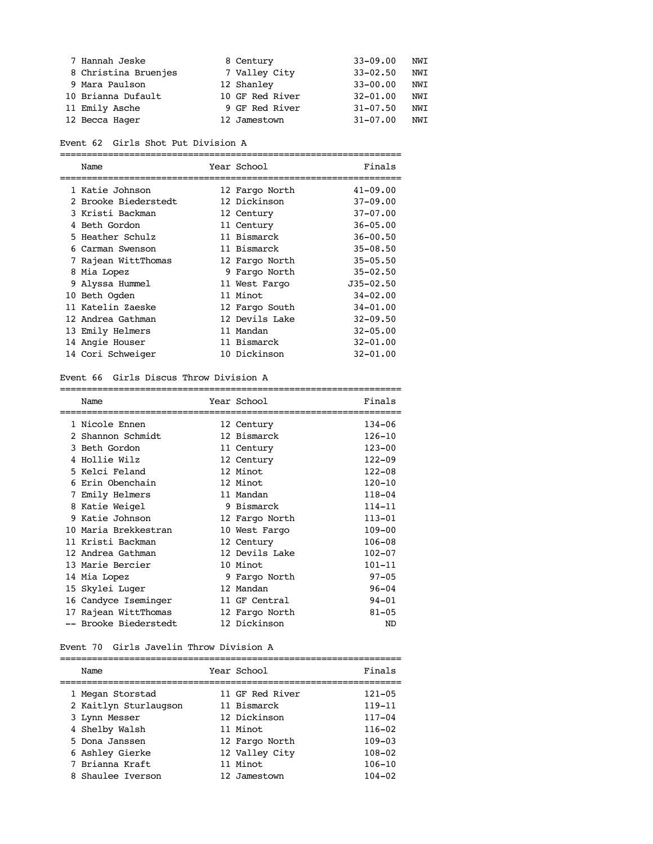| 7 Hannah Jeske       | 8 Century       | $33 - 09.00$ | NWI |
|----------------------|-----------------|--------------|-----|
| 8 Christina Bruenjes | 7 Valley City   | $33 - 02.50$ | NWI |
| 9 Mara Paulson       | 12 Shanley      | $33 - 00.00$ | NWI |
| 10 Brianna Dufault   | 10 GF Red River | $32 - 01.00$ | NWI |
| 11 Emily Asche       | 9 GF Red River  | $31 - 07.50$ | NWI |
| 12 Becca Hager       | 12 Jamestown    | $31 - 07.00$ | NWI |

| Event 62 Girls Shot Put Division A |
|------------------------------------|
|------------------------------------|

|  | Name                 |  | Year School    | Finals        |  |
|--|----------------------|--|----------------|---------------|--|
|  | 1 Katie Johnson      |  | 12 Fargo North | $41 - 09.00$  |  |
|  | 2 Brooke Biederstedt |  | 12 Dickinson   | $37 - 09.00$  |  |
|  | 3 Kristi Backman     |  | 12 Century     | $37 - 07.00$  |  |
|  | 4 Beth Gordon        |  | 11 Century     | $36 - 05.00$  |  |
|  | 5 Heather Schulz     |  | 11 Bismarck    | $36 - 00.50$  |  |
|  | 6 Carman Swenson     |  | 11 Bismarck    | $35 - 08.50$  |  |
|  | 7 Rajean WittThomas  |  | 12 Fargo North | $35 - 05.50$  |  |
|  | 8 Mia Lopez          |  | 9 Fargo North  | $35 - 02.50$  |  |
|  | 9 Alyssa Hummel      |  | 11 West Fargo  | $J35 - 02.50$ |  |
|  | 10 Beth Ogden        |  | 11 Minot       | $34 - 02.00$  |  |
|  | 11 Katelin Zaeske    |  | 12 Fargo South | $34 - 01.00$  |  |
|  | 12 Andrea Gathman    |  | 12 Devils Lake | $32 - 09.50$  |  |
|  | 13 Emily Helmers     |  | 11 Mandan      | $32 - 05.00$  |  |
|  | 14 Angie Houser      |  | 11 Bismarck    | $32 - 01.00$  |  |
|  | 14 Cori Schweiger    |  | 10 Dickinson   | $32 - 01.00$  |  |

#### Event 66 Girls Discus Throw Division A

|   | Name<br>====================== | Year School<br>====================== | Finals     |
|---|--------------------------------|---------------------------------------|------------|
|   | 1 Nicole Ennen                 | 12 Century                            | 134-06     |
|   | 2 Shannon Schmidt              | 12 Bismarck                           | $126 - 10$ |
|   | 3 Beth Gordon                  | 11 Century                            | $123 - 00$ |
|   | 4 Hollie Wilz                  | 12 Century                            | $122 - 09$ |
|   | 5 Kelci Feland                 | 12 Minot                              | $122 - 08$ |
|   | 6 Erin Obenchain               | 12 Minot                              | $120 - 10$ |
| 7 | Emily Helmers                  | 11 Mandan                             | $118 - 04$ |
|   | 8 Katie Weigel                 | 9 Bismarck                            | $114 - 11$ |
|   | 9 Katie Johnson                | 12 Fargo North                        | $113 - 01$ |
|   | 10 Maria Brekkestran           | 10 West Fargo                         | $109 - 00$ |
|   | 11 Kristi Backman              | 12 Century                            | $106 - 08$ |
|   | 12 Andrea Gathman              | 12 Devils Lake                        | $102 - 07$ |
|   | 13 Marie Bercier               | 10 Minot                              | $101 - 11$ |
|   | 14 Mia Lopez                   | 9 Fargo North                         | $97 - 05$  |
|   | 15 Skylei Luger                | 12 Mandan                             | $96 - 04$  |
|   | 16 Candyce Iseminger           | 11 GF Central                         | $94 - 01$  |
|   | 17 Rajean WittThomas           | 12 Fargo North                        | $81 - 05$  |
|   | -- Brooke Biederstedt          | 12 Dickinson                          | ND         |

#### Event 70 Girls Javelin Throw Division A

| Name                  | Year School     | Finals     |
|-----------------------|-----------------|------------|
| 1 Megan Storstad      | 11 GF Red River | $121 - 05$ |
| 2 Kaitlyn Sturlaugson | 11 Bismarck     | $119 - 11$ |
| 3 Lynn Messer         | 12 Dickinson    | $117 - 04$ |
| 4 Shelby Walsh        | 11 Minot        | $116 - 02$ |
| 5 Dona Janssen        | 12 Fargo North  | $109 - 03$ |
| 6 Ashley Gierke       | 12 Valley City  | $108 - 02$ |
| 7 Brianna Kraft       | 11 Minot        | $106 - 10$ |
| 8 Shaulee Iverson     | 12 Jamestown    | $104 - 02$ |